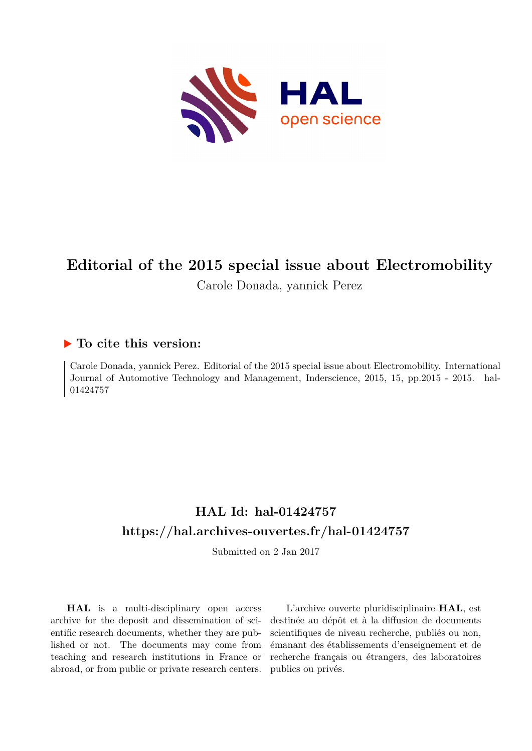

# **Editorial of the 2015 special issue about Electromobility** Carole Donada, yannick Perez

## **To cite this version:**

Carole Donada, yannick Perez. Editorial of the 2015 special issue about Electromobility. International Journal of Automotive Technology and Management, Inderscience, 2015, 15, pp.2015 - 2015. hal-01424757

## **HAL Id: hal-01424757 <https://hal.archives-ouvertes.fr/hal-01424757>**

Submitted on 2 Jan 2017

**HAL** is a multi-disciplinary open access archive for the deposit and dissemination of scientific research documents, whether they are published or not. The documents may come from teaching and research institutions in France or abroad, or from public or private research centers.

L'archive ouverte pluridisciplinaire **HAL**, est destinée au dépôt et à la diffusion de documents scientifiques de niveau recherche, publiés ou non, émanant des établissements d'enseignement et de recherche français ou étrangers, des laboratoires publics ou privés.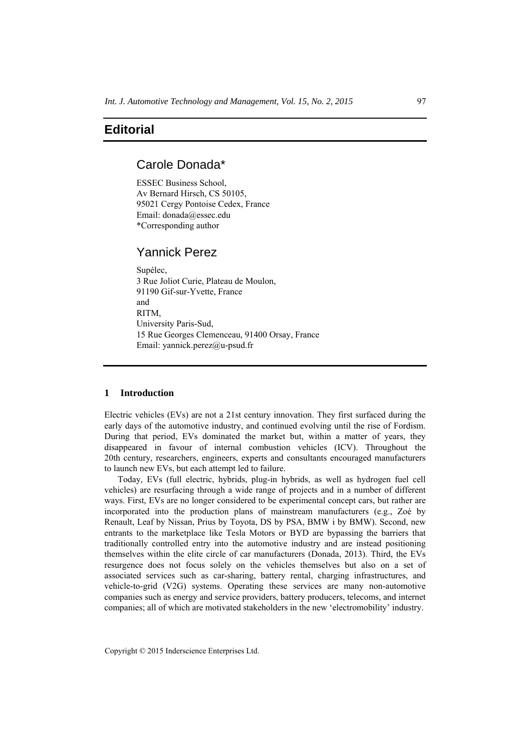## Carole Donada\*

ESSEC Business School, Av Bernard Hirsch, CS 50105, 95021 Cergy Pontoise Cedex, France Email: donada@essec.edu \*Corresponding author

### Yannick Perez

Supélec, 3 Rue Joliot Curie, Plateau de Moulon, 91190 Gif-sur-Yvette, France and RITM, University Paris-Sud, 15 Rue Georges Clemenceau, 91400 Orsay, France Email: yannick.perez@u-psud.fr

#### **1 Introduction**

Electric vehicles (EVs) are not a 21st century innovation. They first surfaced during the early days of the automotive industry, and continued evolving until the rise of Fordism. During that period, EVs dominated the market but, within a matter of years, they disappeared in favour of internal combustion vehicles (ICV). Throughout the 20th century, researchers, engineers, experts and consultants encouraged manufacturers to launch new EVs, but each attempt led to failure.

Today, EVs (full electric, hybrids, plug-in hybrids, as well as hydrogen fuel cell vehicles) are resurfacing through a wide range of projects and in a number of different ways. First, EVs are no longer considered to be experimental concept cars, but rather are incorporated into the production plans of mainstream manufacturers (e.g., Zoé by Renault, Leaf by Nissan, Prius by Toyota, DS by PSA, BMW i by BMW). Second, new entrants to the marketplace like Tesla Motors or BYD are bypassing the barriers that traditionally controlled entry into the automotive industry and are instead positioning themselves within the elite circle of car manufacturers (Donada, 2013). Third, the EVs resurgence does not focus solely on the vehicles themselves but also on a set of associated services such as car-sharing, battery rental, charging infrastructures, and vehicle-to-grid (V2G) systems. Operating these services are many non-automotive companies such as energy and service providers, battery producers, telecoms, and internet companies; all of which are motivated stakeholders in the new 'electromobility' industry.

Copyright © 2015 Inderscience Enterprises Ltd.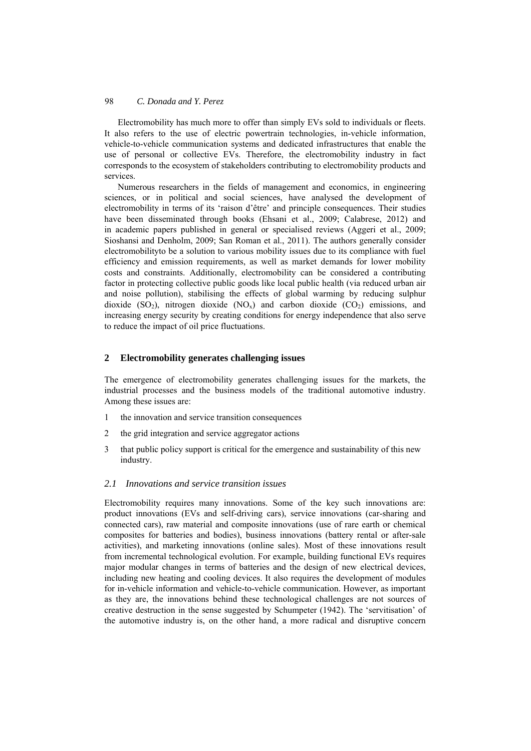Electromobility has much more to offer than simply EVs sold to individuals or fleets. It also refers to the use of electric powertrain technologies, in-vehicle information, vehicle-to-vehicle communication systems and dedicated infrastructures that enable the use of personal or collective EVs. Therefore, the electromobility industry in fact corresponds to the ecosystem of stakeholders contributing to electromobility products and services.

Numerous researchers in the fields of management and economics, in engineering sciences, or in political and social sciences, have analysed the development of electromobility in terms of its 'raison d'être' and principle consequences. Their studies have been disseminated through books (Ehsani et al., 2009; Calabrese, 2012) and in academic papers published in general or specialised reviews (Aggeri et al., 2009; Sioshansi and Denholm, 2009; San Roman et al., 2011). The authors generally consider electromobilityto be a solution to various mobility issues due to its compliance with fuel efficiency and emission requirements, as well as market demands for lower mobility costs and constraints. Additionally, electromobility can be considered a contributing factor in protecting collective public goods like local public health (via reduced urban air and noise pollution), stabilising the effects of global warming by reducing sulphur dioxide  $(SO_2)$ , nitrogen dioxide  $(NO_x)$  and carbon dioxide  $(CO_2)$  emissions, and increasing energy security by creating conditions for energy independence that also serve to reduce the impact of oil price fluctuations.

#### **2 Electromobility generates challenging issues**

The emergence of electromobility generates challenging issues for the markets, the industrial processes and the business models of the traditional automotive industry. Among these issues are:

- 1 the innovation and service transition consequences
- 2 the grid integration and service aggregator actions
- 3 that public policy support is critical for the emergence and sustainability of this new industry.

#### *2.1 Innovations and service transition issues*

Electromobility requires many innovations. Some of the key such innovations are: product innovations (EVs and self-driving cars), service innovations (car-sharing and connected cars), raw material and composite innovations (use of rare earth or chemical composites for batteries and bodies), business innovations (battery rental or after-sale activities), and marketing innovations (online sales). Most of these innovations result from incremental technological evolution. For example, building functional EVs requires major modular changes in terms of batteries and the design of new electrical devices, including new heating and cooling devices. It also requires the development of modules for in-vehicle information and vehicle-to-vehicle communication. However, as important as they are, the innovations behind these technological challenges are not sources of creative destruction in the sense suggested by Schumpeter (1942). The 'servitisation' of the automotive industry is, on the other hand, a more radical and disruptive concern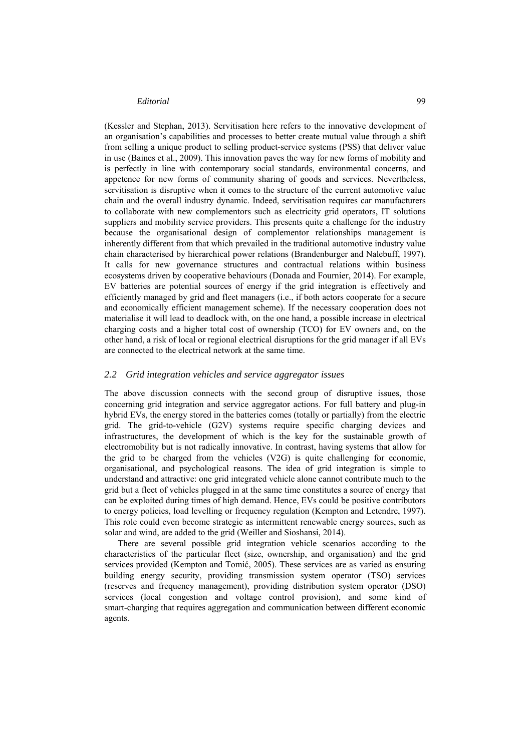(Kessler and Stephan, 2013). Servitisation here refers to the innovative development of an organisation's capabilities and processes to better create mutual value through a shift from selling a unique product to selling product-service systems (PSS) that deliver value in use (Baines et al., 2009). This innovation paves the way for new forms of mobility and is perfectly in line with contemporary social standards, environmental concerns, and appetence for new forms of community sharing of goods and services. Nevertheless, servitisation is disruptive when it comes to the structure of the current automotive value chain and the overall industry dynamic. Indeed, servitisation requires car manufacturers to collaborate with new complementors such as electricity grid operators, IT solutions suppliers and mobility service providers. This presents quite a challenge for the industry because the organisational design of complementor relationships management is inherently different from that which prevailed in the traditional automotive industry value chain characterised by hierarchical power relations (Brandenburger and Nalebuff, 1997). It calls for new governance structures and contractual relations within business ecosystems driven by cooperative behaviours (Donada and Fournier, 2014). For example, EV batteries are potential sources of energy if the grid integration is effectively and efficiently managed by grid and fleet managers (i.e., if both actors cooperate for a secure and economically efficient management scheme). If the necessary cooperation does not materialise it will lead to deadlock with, on the one hand, a possible increase in electrical charging costs and a higher total cost of ownership (TCO) for EV owners and, on the other hand, a risk of local or regional electrical disruptions for the grid manager if all EVs are connected to the electrical network at the same time.

#### *2.2 Grid integration vehicles and service aggregator issues*

The above discussion connects with the second group of disruptive issues, those concerning grid integration and service aggregator actions. For full battery and plug-in hybrid EVs, the energy stored in the batteries comes (totally or partially) from the electric grid. The grid-to-vehicle (G2V) systems require specific charging devices and infrastructures, the development of which is the key for the sustainable growth of electromobility but is not radically innovative. In contrast, having systems that allow for the grid to be charged from the vehicles (V2G) is quite challenging for economic, organisational, and psychological reasons. The idea of grid integration is simple to understand and attractive: one grid integrated vehicle alone cannot contribute much to the grid but a fleet of vehicles plugged in at the same time constitutes a source of energy that can be exploited during times of high demand. Hence, EVs could be positive contributors to energy policies, load levelling or frequency regulation (Kempton and Letendre, 1997). This role could even become strategic as intermittent renewable energy sources, such as solar and wind, are added to the grid (Weiller and Sioshansi, 2014).

There are several possible grid integration vehicle scenarios according to the characteristics of the particular fleet (size, ownership, and organisation) and the grid services provided (Kempton and Tomić, 2005). These services are as varied as ensuring building energy security, providing transmission system operator (TSO) services (reserves and frequency management), providing distribution system operator (DSO) services (local congestion and voltage control provision), and some kind of smart-charging that requires aggregation and communication between different economic agents.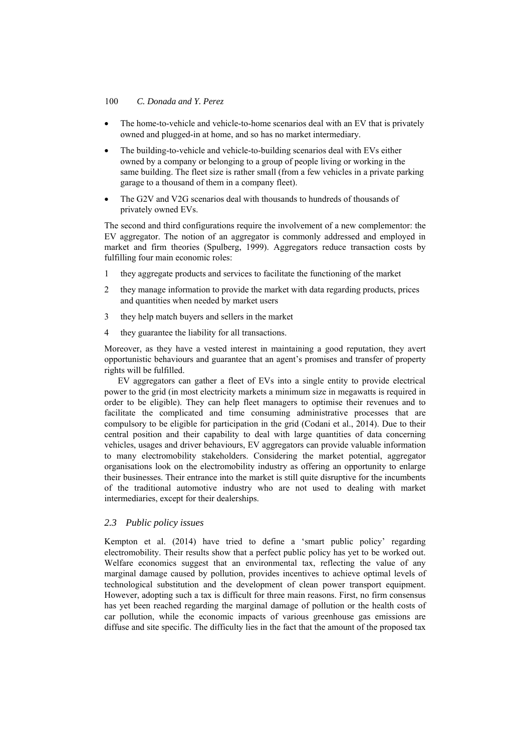- The home-to-vehicle and vehicle-to-home scenarios deal with an EV that is privately owned and plugged-in at home, and so has no market intermediary.
- The building-to-vehicle and vehicle-to-building scenarios deal with EVs either owned by a company or belonging to a group of people living or working in the same building. The fleet size is rather small (from a few vehicles in a private parking garage to a thousand of them in a company fleet).
- The G2V and V2G scenarios deal with thousands to hundreds of thousands of privately owned EVs.

The second and third configurations require the involvement of a new complementor: the EV aggregator. The notion of an aggregator is commonly addressed and employed in market and firm theories (Spulberg, 1999). Aggregators reduce transaction costs by fulfilling four main economic roles:

- 1 they aggregate products and services to facilitate the functioning of the market
- 2 they manage information to provide the market with data regarding products, prices and quantities when needed by market users
- 3 they help match buyers and sellers in the market
- 4 they guarantee the liability for all transactions.

Moreover, as they have a vested interest in maintaining a good reputation, they avert opportunistic behaviours and guarantee that an agent's promises and transfer of property rights will be fulfilled.

EV aggregators can gather a fleet of EVs into a single entity to provide electrical power to the grid (in most electricity markets a minimum size in megawatts is required in order to be eligible). They can help fleet managers to optimise their revenues and to facilitate the complicated and time consuming administrative processes that are compulsory to be eligible for participation in the grid (Codani et al., 2014). Due to their central position and their capability to deal with large quantities of data concerning vehicles, usages and driver behaviours, EV aggregators can provide valuable information to many electromobility stakeholders. Considering the market potential, aggregator organisations look on the electromobility industry as offering an opportunity to enlarge their businesses. Their entrance into the market is still quite disruptive for the incumbents of the traditional automotive industry who are not used to dealing with market intermediaries, except for their dealerships.

#### *2.3 Public policy issues*

Kempton et al. (2014) have tried to define a 'smart public policy' regarding electromobility. Their results show that a perfect public policy has yet to be worked out. Welfare economics suggest that an environmental tax, reflecting the value of any marginal damage caused by pollution, provides incentives to achieve optimal levels of technological substitution and the development of clean power transport equipment. However, adopting such a tax is difficult for three main reasons. First, no firm consensus has yet been reached regarding the marginal damage of pollution or the health costs of car pollution, while the economic impacts of various greenhouse gas emissions are diffuse and site specific. The difficulty lies in the fact that the amount of the proposed tax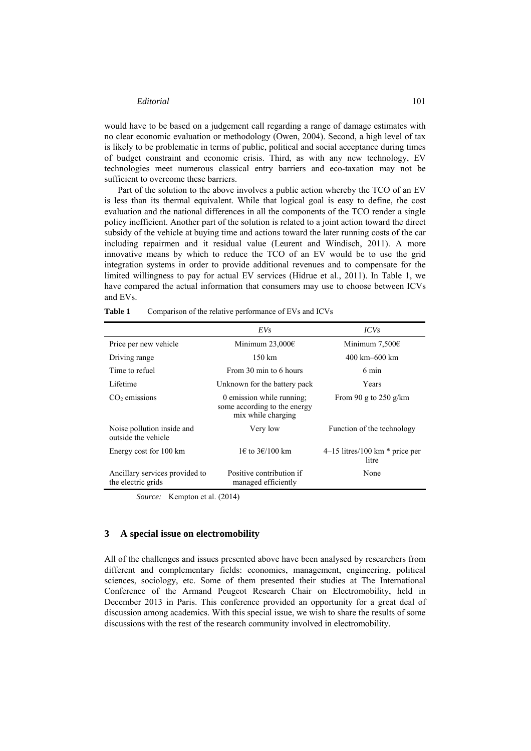would have to be based on a judgement call regarding a range of damage estimates with no clear economic evaluation or methodology (Owen, 2004). Second, a high level of tax is likely to be problematic in terms of public, political and social acceptance during times of budget constraint and economic crisis. Third, as with any new technology, EV technologies meet numerous classical entry barriers and eco-taxation may not be sufficient to overcome these barriers.

Part of the solution to the above involves a public action whereby the TCO of an EV is less than its thermal equivalent. While that logical goal is easy to define, the cost evaluation and the national differences in all the components of the TCO render a single policy inefficient. Another part of the solution is related to a joint action toward the direct subsidy of the vehicle at buying time and actions toward the later running costs of the car including repairmen and it residual value (Leurent and Windisch, 2011). A more innovative means by which to reduce the TCO of an EV would be to use the grid integration systems in order to provide additional revenues and to compensate for the limited willingness to pay for actual EV services (Hidrue et al., 2011). In Table 1, we have compared the actual information that consumers may use to choose between ICVs and EVs.

|                                                      | EVs                                                                             | <i>ICVs</i>                                 |
|------------------------------------------------------|---------------------------------------------------------------------------------|---------------------------------------------|
| Price per new vehicle                                | Minimum $23,000 \in$                                                            | Minimum 7,500 $\epsilon$                    |
| Driving range                                        | $150 \text{ km}$                                                                | 400 km-600 km                               |
| Time to refuel                                       | From 30 min to 6 hours                                                          | 6 min                                       |
| Lifetime                                             | Unknown for the battery pack                                                    | Years                                       |
| $CO2$ emissions                                      | 0 emission while running;<br>some according to the energy<br>mix while charging | From 90 g to 250 g/km                       |
| Noise pollution inside and<br>outside the vehicle    | Very low                                                                        | Function of the technology                  |
| Energy cost for 100 km                               | 1€ to 3€/100 km                                                                 | $4-15$ litres/100 km $*$ price per<br>litre |
| Ancillary services provided to<br>the electric grids | Positive contribution if<br>managed efficiently                                 | None                                        |

**Table 1** Comparison of the relative performance of EVs and ICVs

*Source:* Kempton et al. (2014)

#### **3 A special issue on electromobility**

All of the challenges and issues presented above have been analysed by researchers from different and complementary fields: economics, management, engineering, political sciences, sociology, etc. Some of them presented their studies at The International Conference of the Armand Peugeot Research Chair on Electromobility, held in December 2013 in Paris. This conference provided an opportunity for a great deal of discussion among academics. With this special issue, we wish to share the results of some discussions with the rest of the research community involved in electromobility.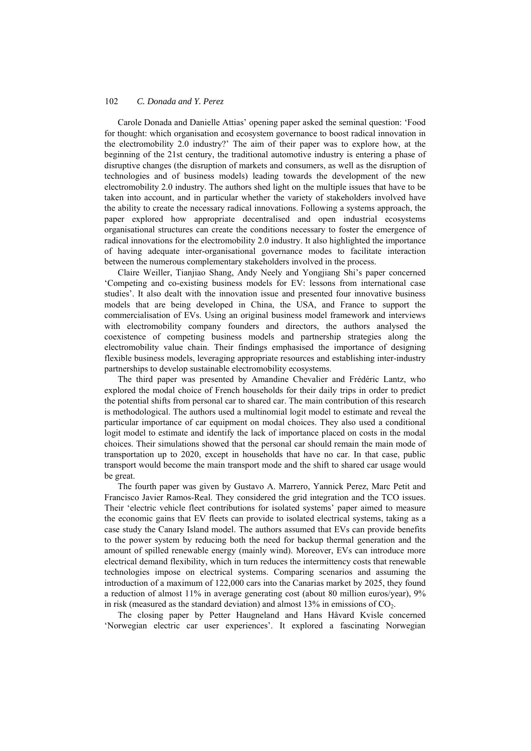Carole Donada and Danielle Attias' opening paper asked the seminal question: 'Food for thought: which organisation and ecosystem governance to boost radical innovation in the electromobility 2.0 industry?' The aim of their paper was to explore how, at the beginning of the 21st century, the traditional automotive industry is entering a phase of disruptive changes (the disruption of markets and consumers, as well as the disruption of technologies and of business models) leading towards the development of the new electromobility 2.0 industry. The authors shed light on the multiple issues that have to be taken into account, and in particular whether the variety of stakeholders involved have the ability to create the necessary radical innovations. Following a systems approach, the paper explored how appropriate decentralised and open industrial ecosystems organisational structures can create the conditions necessary to foster the emergence of radical innovations for the electromobility 2.0 industry. It also highlighted the importance of having adequate inter-organisational governance modes to facilitate interaction between the numerous complementary stakeholders involved in the process.

Claire Weiller, Tianjiao Shang, Andy Neely and Yongjiang Shi's paper concerned 'Competing and co-existing business models for EV: lessons from international case studies'. It also dealt with the innovation issue and presented four innovative business models that are being developed in China, the USA, and France to support the commercialisation of EVs. Using an original business model framework and interviews with electromobility company founders and directors, the authors analysed the coexistence of competing business models and partnership strategies along the electromobility value chain. Their findings emphasised the importance of designing flexible business models, leveraging appropriate resources and establishing inter-industry partnerships to develop sustainable electromobility ecosystems.

The third paper was presented by Amandine Chevalier and Frédéric Lantz, who explored the modal choice of French households for their daily trips in order to predict the potential shifts from personal car to shared car. The main contribution of this research is methodological. The authors used a multinomial logit model to estimate and reveal the particular importance of car equipment on modal choices. They also used a conditional logit model to estimate and identify the lack of importance placed on costs in the modal choices. Their simulations showed that the personal car should remain the main mode of transportation up to 2020, except in households that have no car. In that case, public transport would become the main transport mode and the shift to shared car usage would be great.

The fourth paper was given by Gustavo A. Marrero, Yannick Perez, Marc Petit and Francisco Javier Ramos-Real. They considered the grid integration and the TCO issues. Their 'electric vehicle fleet contributions for isolated systems' paper aimed to measure the economic gains that EV fleets can provide to isolated electrical systems, taking as a case study the Canary Island model. The authors assumed that EVs can provide benefits to the power system by reducing both the need for backup thermal generation and the amount of spilled renewable energy (mainly wind). Moreover, EVs can introduce more electrical demand flexibility, which in turn reduces the intermittency costs that renewable technologies impose on electrical systems. Comparing scenarios and assuming the introduction of a maximum of 122,000 cars into the Canarias market by 2025, they found a reduction of almost 11% in average generating cost (about 80 million euros/year), 9% in risk (measured as the standard deviation) and almost  $13\%$  in emissions of  $CO<sub>2</sub>$ .

The closing paper by Petter Haugneland and Hans Håvard Kvisle concerned 'Norwegian electric car user experiences'. It explored a fascinating Norwegian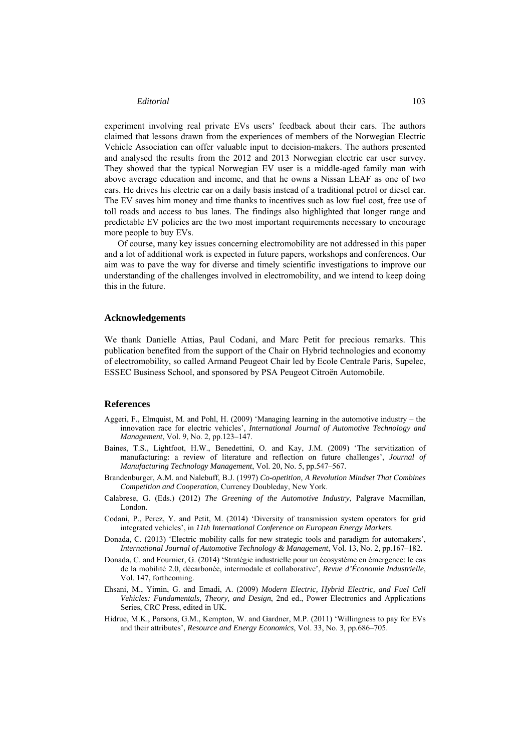experiment involving real private EVs users' feedback about their cars. The authors claimed that lessons drawn from the experiences of members of the Norwegian Electric Vehicle Association can offer valuable input to decision-makers. The authors presented and analysed the results from the 2012 and 2013 Norwegian electric car user survey. They showed that the typical Norwegian EV user is a middle-aged family man with above average education and income, and that he owns a Nissan LEAF as one of two cars. He drives his electric car on a daily basis instead of a traditional petrol or diesel car. The EV saves him money and time thanks to incentives such as low fuel cost, free use of toll roads and access to bus lanes. The findings also highlighted that longer range and predictable EV policies are the two most important requirements necessary to encourage more people to buy EVs.

Of course, many key issues concerning electromobility are not addressed in this paper and a lot of additional work is expected in future papers, workshops and conferences. Our aim was to pave the way for diverse and timely scientific investigations to improve our understanding of the challenges involved in electromobility, and we intend to keep doing this in the future.

#### **Acknowledgements**

We thank Danielle Attias, Paul Codani, and Marc Petit for precious remarks. This publication benefited from the support of the Chair on Hybrid technologies and economy of electromobility, so called Armand Peugeot Chair led by Ecole Centrale Paris, Supelec, ESSEC Business School, and sponsored by PSA Peugeot Citroën Automobile.

#### **References**

- Aggeri, F., Elmquist, M. and Pohl, H. (2009) 'Managing learning in the automotive industry the innovation race for electric vehicles', *International Journal of Automotive Technology and Management*, Vol. 9, No. 2, pp.123–147.
- Baines, T.S., Lightfoot, H.W., Benedettini, O. and Kay, J.M. (2009) 'The servitization of manufacturing: a review of literature and reflection on future challenges', *Journal of Manufacturing Technology Management*, Vol. 20, No. 5, pp.547–567.
- Brandenburger, A.M. and Nalebuff, B.J. (1997) *Co-opetition, A Revolution Mindset That Combines Competition and Cooperation*, Currency Doubleday, New York.
- Calabrese, G. (Eds.) (2012) *The Greening of the Automotive Industry*, Palgrave Macmillan, London.
- Codani, P., Perez, Y. and Petit, M. (2014) 'Diversity of transmission system operators for grid integrated vehicles', in *11th International Conference on European Energy Markets*.
- Donada, C. (2013) 'Electric mobility calls for new strategic tools and paradigm for automakers', *International Journal of Automotive Technology & Management*, Vol. 13, No. 2, pp.167–182.
- Donada, C. and Fournier, G. (2014) 'Stratégie industrielle pour un écosystème en émergence: le cas de la mobilité 2.0, décarbonée, intermodale et collaborative', *Revue d'Économie Industrielle*, Vol. 147, forthcoming.
- Ehsani, M., Yimin, G. and Emadi, A. (2009) *Modern Electric, Hybrid Electric, and Fuel Cell Vehicles: Fundamentals, Theory, and Design*, 2nd ed., Power Electronics and Applications Series, CRC Press, edited in UK.
- Hidrue, M.K., Parsons, G.M., Kempton, W. and Gardner, M.P. (2011) 'Willingness to pay for EVs and their attributes', *Resource and Energy Economics*, Vol. 33, No. 3, pp.686–705.